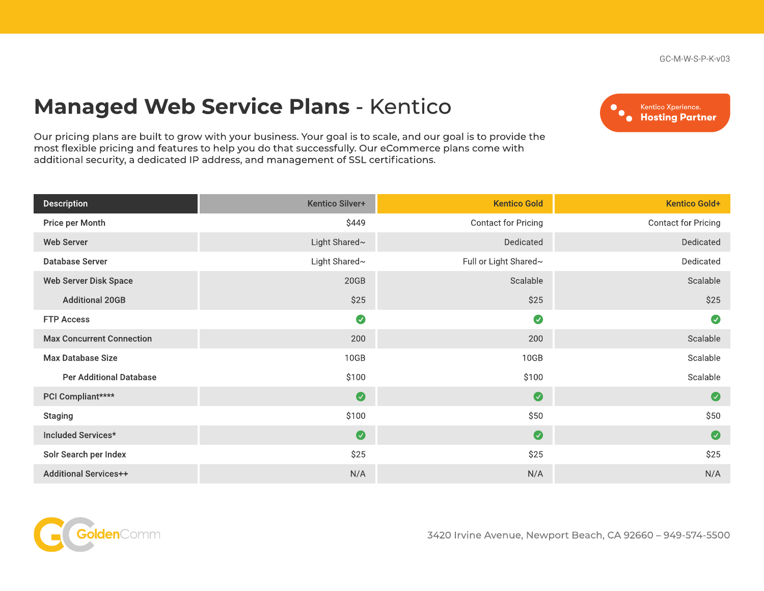GC-M-W-S-P-K-v03

## Managed Web Service Plans - Kentico

 $\bullet_{\bullet}$ Kentico Xperience. **Hosting Partner** 

Our pricing plans are built to grow with your business. Your goal is to scale, and our goal is to provide the most flexible pricing and features to help you do that successfully. Our eCommerce plans come with additional security, a dedicated IP address, and management of SSL certifications.

| <b>Description</b>               | Kentico Silver+ | <b>Kentico Gold</b>        | <b>Kentico Gold+</b> |
|----------------------------------|-----------------|----------------------------|----------------------|
| Price per Month                  | \$449           | <b>Contact for Pricing</b> | Contact for Pricing  |
| <b>Web Server</b>                | Light Shared~   | Dedicated                  | Dedicated            |
| <b>Database Server</b>           | Light Shared~   | Full or Light Shared~      | Dedicated            |
| <b>Web Server Disk Space</b>     | 20GB            | Scalable                   | Scalable             |
| <b>Additional 20GB</b>           | \$25            | \$25                       | \$25                 |
| <b>FTP Access</b>                | $\bullet$       | $\bullet$                  | $\bullet$            |
| <b>Max Concurrent Connection</b> | 200             | 200                        | Scalable             |
| <b>Max Database Size</b>         | 10GB            | 10GB                       | Scalable             |
| <b>Per Additional Database</b>   | \$100           | \$100                      | Scalable             |
| PCI Compliant****                | $\bullet$       | $\bullet$                  | $\bullet$            |
| <b>Staging</b>                   | \$100           | \$50                       | \$50                 |
| Included Services*               | $\bullet$       | $\bullet$                  | $\bullet$            |
| Solr Search per Index            | \$25            | \$25                       | \$25                 |
| <b>Additional Services++</b>     | N/A             | N/A                        | N/A                  |



3420 Irvine Avenue, Newport Beach, CA 92660 – 949-574-5500